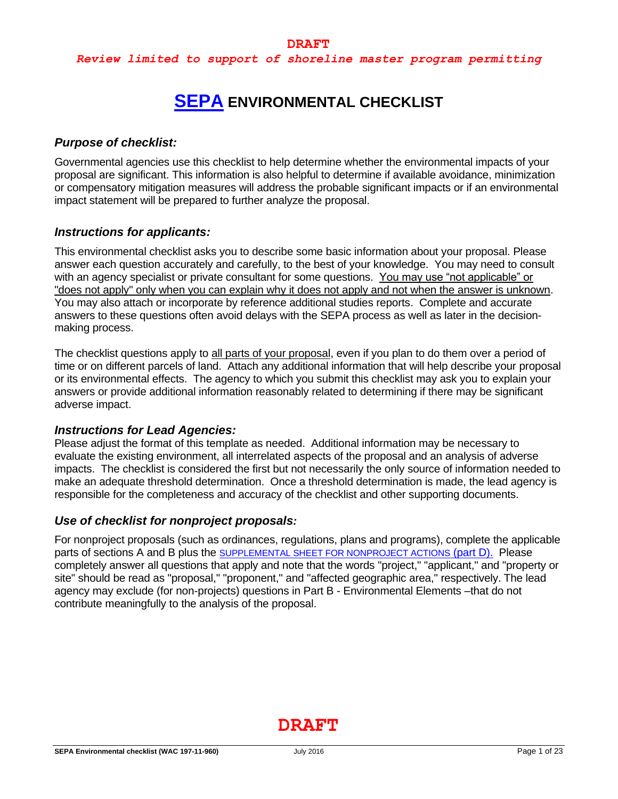# **[SEPA](https://ecology.wa.gov/Regulations-Permits/SEPA/Environmental-review/SEPA-guidance/Checklist-guidance) ENVIRONMENTAL CHECKLIST**

# *Purpose of checklist:*

Governmental agencies use this checklist to help determine whether the environmental impacts of your proposal are significant. This information is also helpful to determine if available avoidance, minimization or compensatory mitigation measures will address the probable significant impacts or if an environmental impact statement will be prepared to further analyze the proposal.

# *Instructions for applicants:*

This environmental checklist asks you to describe some basic information about your proposal. Please answer each question accurately and carefully, to the best of your knowledge. You may need to consult with an agency specialist or private consultant for some questions. You may use "not applicable" or "does not apply" only when you can explain why it does not apply and not when the answer is unknown. You may also attach or incorporate by reference additional studies reports. Complete and accurate answers to these questions often avoid delays with the SEPA process as well as later in the decisionmaking process.

The checklist questions apply to all parts of your proposal, even if you plan to do them over a period of time or on different parcels of land. Attach any additional information that will help describe your proposal or its environmental effects. The agency to which you submit this checklist may ask you to explain your answers or provide additional information reasonably related to determining if there may be significant adverse impact.

# *Instructions for Lead Agencies:*

Please adjust the format of this template as needed. Additional information may be necessary to evaluate the existing environment, all interrelated aspects of the proposal and an analysis of adverse impacts. The checklist is considered the first but not necessarily the only source of information needed to make an adequate threshold determination. Once a threshold determination is made, the lead agency is responsible for the completeness and accuracy of the checklist and other supporting documents.

# *Use of checklist for nonproject proposals:*

For nonproject proposals (such as ordinances, regulations, plans and programs), complete the applicable parts of sections A and B plus the SUPPLEMENTAL SHEET FOR NONPROJECT ACTIONS (part D). Please completely answer all questions that apply and note that the words "project," "applicant," and "property or site" should be read as "proposal," "proponent," and "affected geographic area," respectively. The lead agency may exclude (for non-projects) questions in Part B - Environmental Elements –that do not contribute meaningfully to the analysis of the proposal.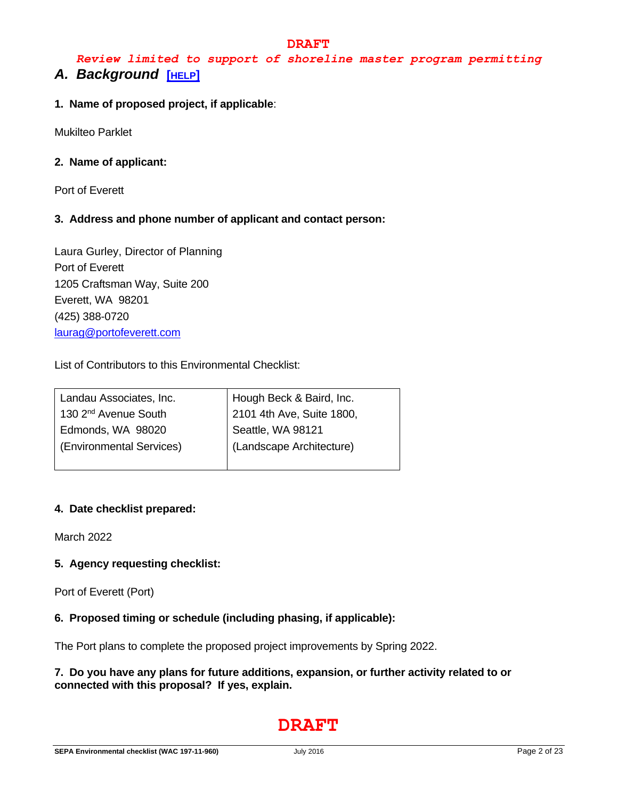# *Review limited to support of shoreline master program permitting A. Background* **[[HELP](https://ecology.wa.gov/Regulations-Permits/SEPA/Environmental-review/SEPA-guidance/SEPA-checklist-guidance/SEPA-Checklist-Section-A-Background)]**

## **1. Name of proposed project, if applicable**:

Mukilteo Parklet

#### **2. Name of applicant:**

Port of Everett

# **3. Address and phone number of applicant and contact person:**

Laura Gurley, Director of Planning Port of Everett 1205 Craftsman Way, Suite 200 Everett, WA 98201 (425) 388-0720 [laurag@portofeverett.com](mailto:laurag@portofeverett.com)

List of Contributors to this Environmental Checklist:

| Landau Associates, Inc.          | Hough Beck & Baird, Inc.  |
|----------------------------------|---------------------------|
| 130 2 <sup>nd</sup> Avenue South | 2101 4th Ave, Suite 1800, |
| Edmonds, WA 98020                | Seattle, WA 98121         |
| (Environmental Services)         | (Landscape Architecture)  |
|                                  |                           |

#### **4. Date checklist prepared:**

March 2022

# **5. Agency requesting checklist:**

Port of Everett (Port)

# **6. Proposed timing or schedule (including phasing, if applicable):**

The Port plans to complete the proposed project improvements by Spring 2022.

### **7. Do you have any plans for future additions, expansion, or further activity related to or connected with this proposal? If yes, explain.**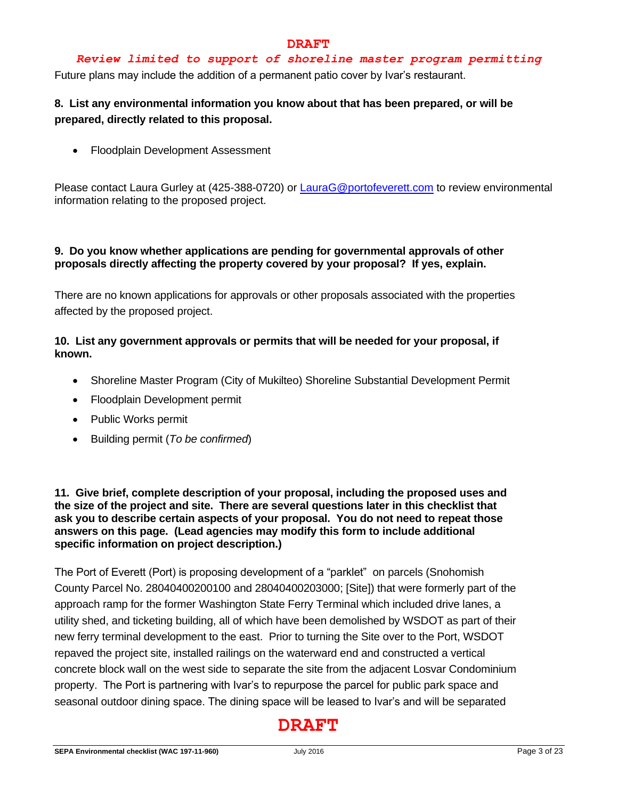# *Review limited to support of shoreline master program permitting*

Future plans may include the addition of a permanent patio cover by Ivar's restaurant.

# **8. List any environmental information you know about that has been prepared, or will be prepared, directly related to this proposal.**

• Floodplain Development Assessment

Please contact Laura Gurley at (425-388-0720) or [LauraG@portofeverett.com](mailto:LauraG@portofeverett.com) to review environmental information relating to the proposed project.

# **9. Do you know whether applications are pending for governmental approvals of other proposals directly affecting the property covered by your proposal? If yes, explain.**

There are no known applications for approvals or other proposals associated with the properties affected by the proposed project.

# **10. List any government approvals or permits that will be needed for your proposal, if known.**

- Shoreline Master Program (City of Mukilteo) Shoreline Substantial Development Permit
- Floodplain Development permit
- Public Works permit
- Building permit (*To be confirmed*)

**11. Give brief, complete description of your proposal, including the proposed uses and the size of the project and site. There are several questions later in this checklist that ask you to describe certain aspects of your proposal. You do not need to repeat those answers on this page. (Lead agencies may modify this form to include additional specific information on project description.)**

The Port of Everett (Port) is proposing development of a "parklet" on parcels (Snohomish County Parcel No. 28040400200100 and 28040400203000; [Site]) that were formerly part of the approach ramp for the former Washington State Ferry Terminal which included drive lanes, a utility shed, and ticketing building, all of which have been demolished by WSDOT as part of their new ferry terminal development to the east. Prior to turning the Site over to the Port, WSDOT repaved the project site, installed railings on the waterward end and constructed a vertical concrete block wall on the west side to separate the site from the adjacent Losvar Condominium property. The Port is partnering with Ivar's to repurpose the parcel for public park space and seasonal outdoor dining space. The dining space will be leased to Ivar's and will be separated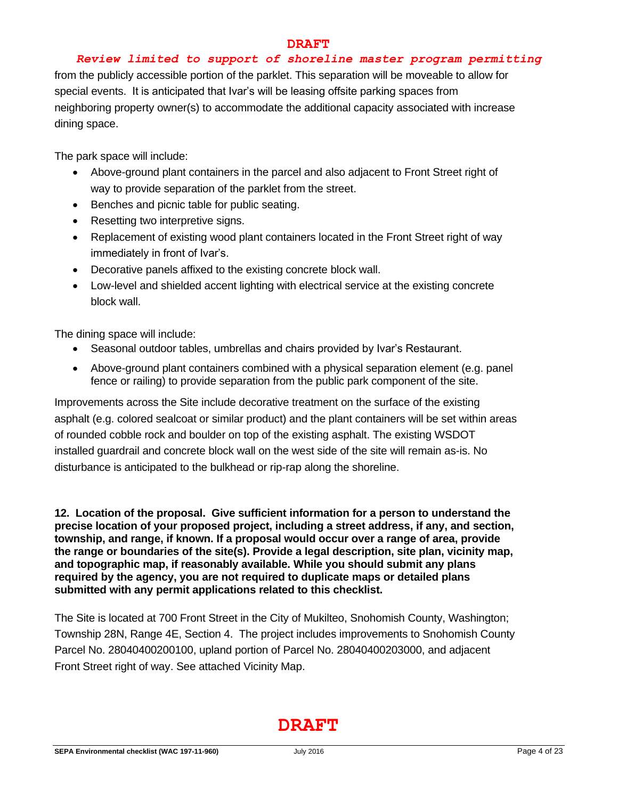#### *Review limited to support of shoreline master program permitting*

from the publicly accessible portion of the parklet. This separation will be moveable to allow for special events. It is anticipated that Ivar's will be leasing offsite parking spaces from neighboring property owner(s) to accommodate the additional capacity associated with increase dining space.

The park space will include:

- Above-ground plant containers in the parcel and also adjacent to Front Street right of way to provide separation of the parklet from the street.
- Benches and picnic table for public seating.
- Resetting two interpretive signs.
- Replacement of existing wood plant containers located in the Front Street right of way immediately in front of Ivar's.
- Decorative panels affixed to the existing concrete block wall.
- Low-level and shielded accent lighting with electrical service at the existing concrete block wall.

The dining space will include:

- Seasonal outdoor tables, umbrellas and chairs provided by Ivar's Restaurant.
- Above-ground plant containers combined with a physical separation element (e.g. panel fence or railing) to provide separation from the public park component of the site.

Improvements across the Site include decorative treatment on the surface of the existing asphalt (e.g. colored sealcoat or similar product) and the plant containers will be set within areas of rounded cobble rock and boulder on top of the existing asphalt. The existing WSDOT installed guardrail and concrete block wall on the west side of the site will remain as-is. No disturbance is anticipated to the bulkhead or rip-rap along the shoreline.

**12. Location of the proposal. Give sufficient information for a person to understand the precise location of your proposed project, including a street address, if any, and section, township, and range, if known. If a proposal would occur over a range of area, provide the range or boundaries of the site(s). Provide a legal description, site plan, vicinity map, and topographic map, if reasonably available. While you should submit any plans required by the agency, you are not required to duplicate maps or detailed plans submitted with any permit applications related to this checklist.**

The Site is located at 700 Front Street in the City of Mukilteo, Snohomish County, Washington; Township 28N, Range 4E, Section 4. The project includes improvements to Snohomish County Parcel No. 28040400200100, upland portion of Parcel No. 28040400203000, and adjacent Front Street right of way. See attached Vicinity Map.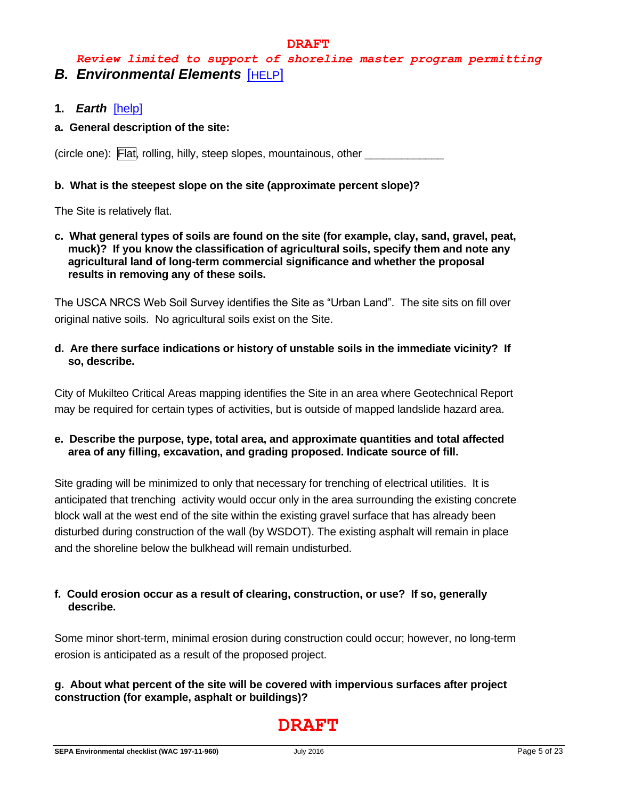# *Review limited to support of shoreline master program permitting B. Environmental Elements* [[HELP](https://ecology.wa.gov/Regulations-Permits/SEPA/Environmental-review/SEPA-guidance/SEPA-checklist-guidance/SEPA-Checklist-Section-B-Environmental-elements)]

- **1.** *Earth*[\[help\]](https://ecology.wa.gov/Regulations-Permits/SEPA/Environmental-review/SEPA-guidance/SEPA-checklist-guidance/SEPA-Checklist-Section-B-Environmental-elements/Environmental-elements-Earth)
- **a. General description of the site:**

(circle one): Flat, rolling, hilly, steep slopes, mountainous, other

### **b. What is the steepest slope on the site (approximate percent slope)?**

The Site is relatively flat.

**c. What general types of soils are found on the site (for example, clay, sand, gravel, peat, muck)? If you know the classification of agricultural soils, specify them and note any agricultural land of long-term commercial significance and whether the proposal results in removing any of these soils.**

The USCA NRCS Web Soil Survey identifies the Site as "Urban Land". The site sits on fill over original native soils. No agricultural soils exist on the Site.

**d. Are there surface indications or history of unstable soils in the immediate vicinity? If so, describe.**

City of Mukilteo Critical Areas mapping identifies the Site in an area where Geotechnical Report may be required for certain types of activities, but is outside of mapped landslide hazard area.

**e. Describe the purpose, type, total area, and approximate quantities and total affected area of any filling, excavation, and grading proposed. Indicate source of fill.**

Site grading will be minimized to only that necessary for trenching of electrical utilities. It is anticipated that trenching activity would occur only in the area surrounding the existing concrete block wall at the west end of the site within the existing gravel surface that has already been disturbed during construction of the wall (by WSDOT). The existing asphalt will remain in place and the shoreline below the bulkhead will remain undisturbed.

# **f. Could erosion occur as a result of clearing, construction, or use? If so, generally describe.**

Some minor short-term, minimal erosion during construction could occur; however, no long-term erosion is anticipated as a result of the proposed project.

# **g. About what percent of the site will be covered with impervious surfaces after project construction (for example, asphalt or buildings)?**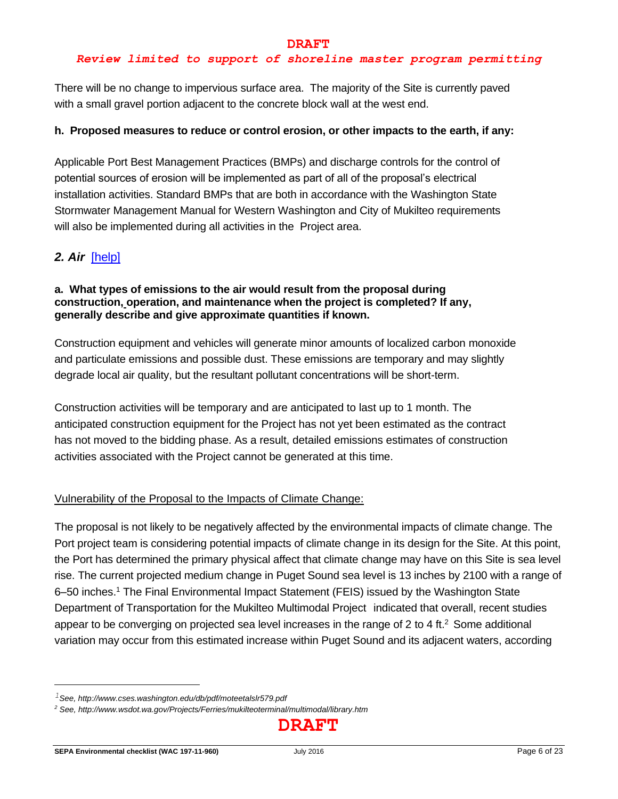# *Review limited to support of shoreline master program permitting*

There will be no change to impervious surface area. The majority of the Site is currently paved with a small gravel portion adjacent to the concrete block wall at the west end.

### **h. Proposed measures to reduce or control erosion, or other impacts to the earth, if any:**

Applicable Port Best Management Practices (BMPs) and discharge controls for the control of potential sources of erosion will be implemented as part of all of the proposal's electrical installation activities. Standard BMPs that are both in accordance with the Washington State Stormwater Management Manual for Western Washington and City of Mukilteo requirements will also be implemented during all activities in the Project area.

# *2. Air*[\[help\]](https://ecology.wa.gov/Regulations-Permits/SEPA/Environmental-review/SEPA-guidance/SEPA-checklist-guidance/SEPA-Checklist-Section-B-Environmental-elements/Environmental-elements-Air)

#### **a. What types of emissions to the air would result from the proposal during construction, operation, and maintenance when the project is completed? If any, generally describe and give approximate quantities if known.**

Construction equipment and vehicles will generate minor amounts of localized carbon monoxide and particulate emissions and possible dust. These emissions are temporary and may slightly degrade local air quality, but the resultant pollutant concentrations will be short-term.

Construction activities will be temporary and are anticipated to last up to 1 month. The anticipated construction equipment for the Project has not yet been estimated as the contract has not moved to the bidding phase. As a result, detailed emissions estimates of construction activities associated with the Project cannot be generated at this time.

# Vulnerability of the Proposal to the Impacts of Climate Change:

The proposal is not likely to be negatively affected by the environmental impacts of climate change. The Port project team is considering potential impacts of climate change in its design for the Site. At this point, the Port has determined the primary physical affect that climate change may have on this Site is sea level rise. The current projected medium change in Puget Sound sea level is 13 inches by 2100 with a range of 6–50 inches. <sup>1</sup> The Final Environmental Impact Statement (FEIS) issued by the Washington State Department of Transportation for the Mukilteo Multimodal Project indicated that overall, recent studies appear to be converging on projected sea level increases in the range of 2 to 4 ft.<sup>2</sup> Some additional variation may occur from this estimated increase within Puget Sound and its adjacent waters, according

*<sup>1</sup>See, http://www.cses.washington.edu/db/pdf/moteetalslr579.pdf*

*<sup>2</sup> See, http://www.wsdot.wa.gov/Projects/Ferries/mukilteoterminal/multimodal/library.htm*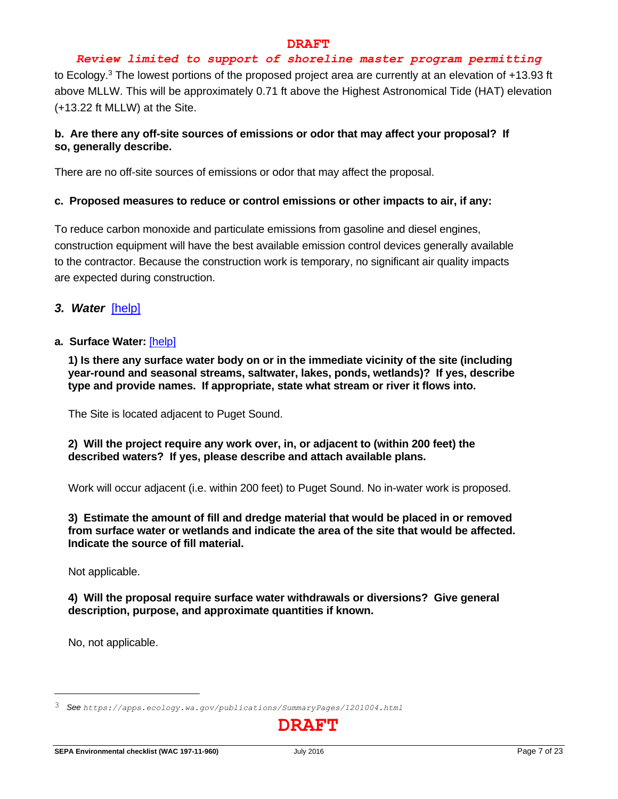#### *Review limited to support of shoreline master program permitting*

to Ecology.<sup>3</sup> The lowest portions of the proposed project area are currently at an elevation of +13.93 ft above MLLW. This will be approximately 0.71 ft above the Highest Astronomical Tide (HAT) elevation (+13.22 ft MLLW) at the Site.

# **b. Are there any off-site sources of emissions or odor that may affect your proposal? If so, generally describe.**

There are no off-site sources of emissions or odor that may affect the proposal.

#### **c. Proposed measures to reduce or control emissions or other impacts to air, if any:**

To reduce carbon monoxide and particulate emissions from gasoline and diesel engines, construction equipment will have the best available emission control devices generally available to the contractor. Because the construction work is temporary, no significant air quality impacts are expected during construction.

*3. Water*[\[help\]](https://ecology.wa.gov/Regulations-Permits/SEPA/Environmental-review/SEPA-guidance/SEPA-checklist-guidance/SEPA-Checklist-Section-B-Environmental-elements/Environmental-elements-3-Water)

#### **a. Surface Water:** [\[help\]](https://ecology.wa.gov/Regulations-Permits/SEPA/Environmental-review/SEPA-guidance/SEPA-checklist-guidance/SEPA-Checklist-Section-B-Environmental-elements/Environmental-elements-3-Water/Environmental-elements-Surface-water)

**1) Is there any surface water body on or in the immediate vicinity of the site (including year-round and seasonal streams, saltwater, lakes, ponds, wetlands)? If yes, describe type and provide names. If appropriate, state what stream or river it flows into.**

The Site is located adjacent to Puget Sound.

#### **2) Will the project require any work over, in, or adjacent to (within 200 feet) the described waters? If yes, please describe and attach available plans.**

Work will occur adjacent (i.e. within 200 feet) to Puget Sound. No in-water work is proposed.

#### **3) Estimate the amount of fill and dredge material that would be placed in or removed from surface water or wetlands and indicate the area of the site that would be affected. Indicate the source of fill material.**

Not applicable.

#### **4) Will the proposal require surface water withdrawals or diversions? Give general description, purpose, and approximate quantities if known.**

No, not applicable.

<sup>3</sup> *See <https://apps.ecology.wa.gov/publications/SummaryPages/1201004.html>*

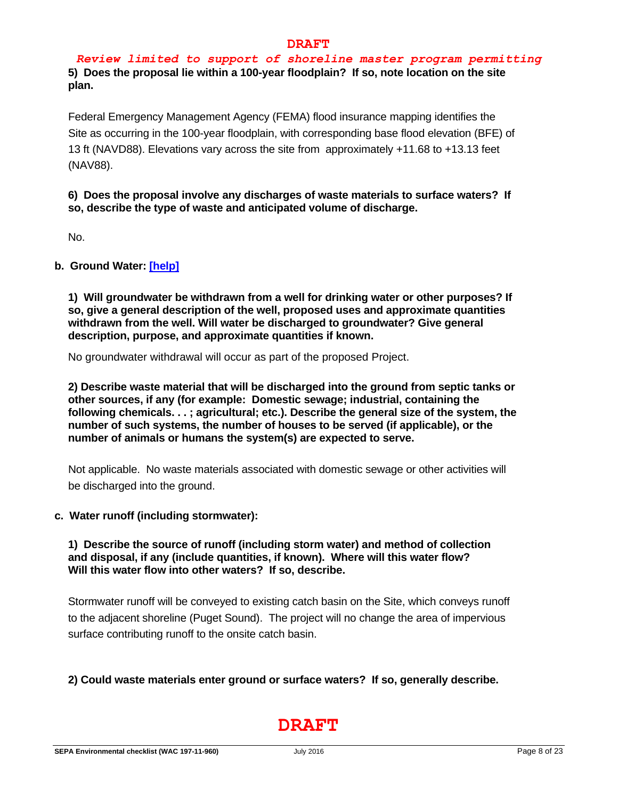*Review limited to support of shoreline master program permitting* **5) Does the proposal lie within a 100-year floodplain? If so, note location on the site plan.**

Federal Emergency Management Agency (FEMA) flood insurance mapping identifies the Site as occurring in the 100-year floodplain, with corresponding base flood elevation (BFE) of 13 ft (NAVD88). Elevations vary across the site from approximately +11.68 to +13.13 feet (NAV88).

### **6) Does the proposal involve any discharges of waste materials to surface waters? If so, describe the type of waste and anticipated volume of discharge.**

No.

### **b. Ground Water: [\[help\]](https://ecology.wa.gov/Regulations-Permits/SEPA/Environmental-review/SEPA-guidance/SEPA-checklist-guidance/SEPA-Checklist-Section-B-Environmental-elements/Environmental-elements-3-Water/Environmental-elements-Groundwater)**

**1) Will groundwater be withdrawn from a well for drinking water or other purposes? If so, give a general description of the well, proposed uses and approximate quantities withdrawn from the well. Will water be discharged to groundwater? Give general description, purpose, and approximate quantities if known.**

No groundwater withdrawal will occur as part of the proposed Project.

**2) Describe waste material that will be discharged into the ground from septic tanks or other sources, if any (for example: Domestic sewage; industrial, containing the following chemicals. . . ; agricultural; etc.). Describe the general size of the system, the number of such systems, the number of houses to be served (if applicable), or the number of animals or humans the system(s) are expected to serve.**

Not applicable. No waste materials associated with domestic sewage or other activities will be discharged into the ground.

#### **c. Water runoff (including stormwater):**

#### **1) Describe the source of runoff (including storm water) and method of collection and disposal, if any (include quantities, if known). Where will this water flow? Will this water flow into other waters? If so, describe.**

Stormwater runoff will be conveyed to existing catch basin on the Site, which conveys runoff to the adjacent shoreline (Puget Sound). The project will no change the area of impervious surface contributing runoff to the onsite catch basin.

# **2) Could waste materials enter ground or surface waters? If so, generally describe.**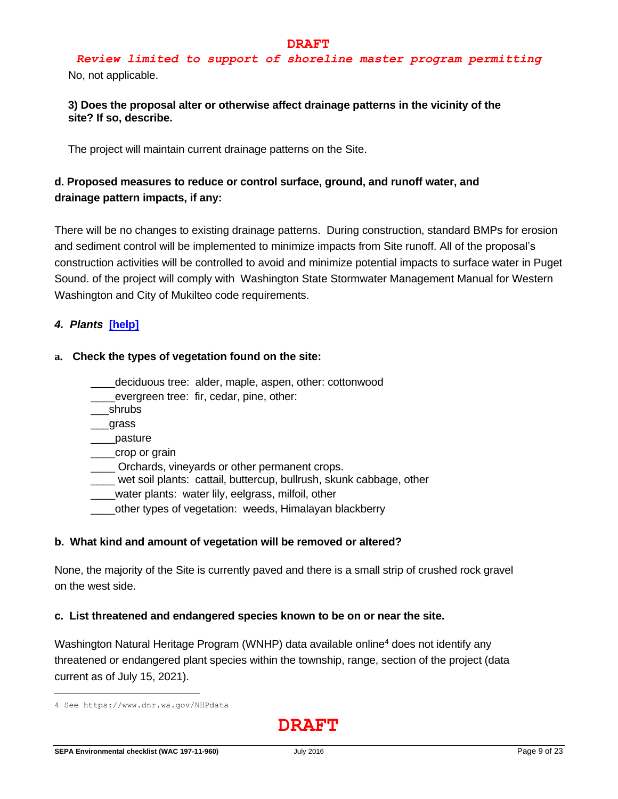*Review limited to support of shoreline master program permitting* No, not applicable.

#### **3) Does the proposal alter or otherwise affect drainage patterns in the vicinity of the site? If so, describe.**

The project will maintain current drainage patterns on the Site.

# **d. Proposed measures to reduce or control surface, ground, and runoff water, and drainage pattern impacts, if any:**

There will be no changes to existing drainage patterns. During construction, standard BMPs for erosion and sediment control will be implemented to minimize impacts from Site runoff. All of the proposal's construction activities will be controlled to avoid and minimize potential impacts to surface water in Puget Sound. of the project will comply with Washington State Stormwater Management Manual for Western Washington and City of Mukilteo code requirements.

### *4. Plants* **[\[help\]](https://ecology.wa.gov/Regulations-Permits/SEPA/Environmental-review/SEPA-guidance/SEPA-checklist-guidance/SEPA-Checklist-Section-B-Environmental-elements/Environmental-elements-4-Plants)**

#### **a. Check the types of vegetation found on the site:**

- \_\_\_\_deciduous tree: alder, maple, aspen, other: cottonwood
- evergreen tree: fir, cedar, pine, other:
- \_\_\_shrubs
- \_\_\_grass
- \_\_\_\_pasture
- \_\_\_\_crop or grain
- Orchards, vineyards or other permanent crops.
- wet soil plants: cattail, buttercup, bullrush, skunk cabbage, other
- \_\_\_\_water plants: water lily, eelgrass, milfoil, other
- \_\_\_\_other types of vegetation: weeds, Himalayan blackberry

#### **b. What kind and amount of vegetation will be removed or altered?**

None, the majority of the Site is currently paved and there is a small strip of crushed rock gravel on the west side.

#### **c. List threatened and endangered species known to be on or near the site.**

Washington Natural Heritage Program (WNHP) data available online<sup>4</sup> does not identify any threatened or endangered plant species within the township, range, section of the project (data current as of July 15, 2021).

<sup>4</sup> See<https://www.dnr.wa.gov/NHPdata>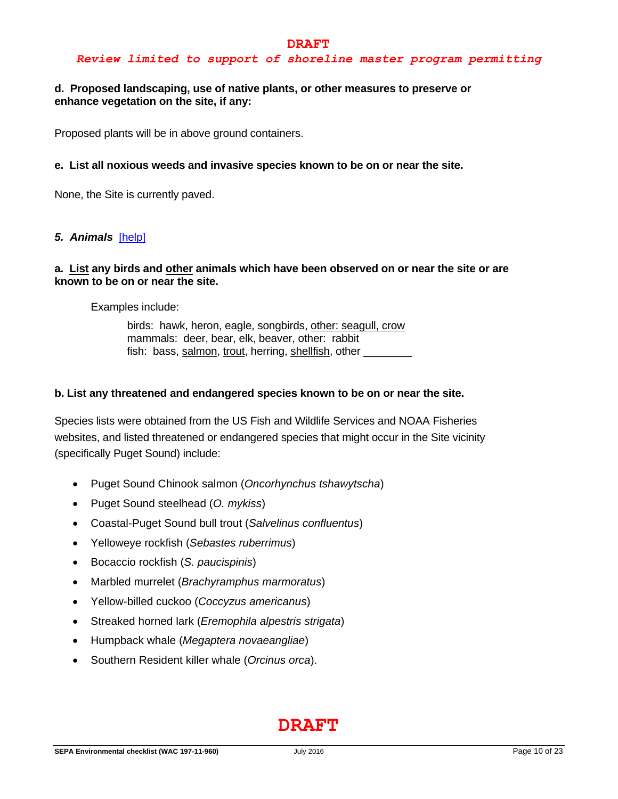#### *Review limited to support of shoreline master program permitting*

#### **d. Proposed landscaping, use of native plants, or other measures to preserve or enhance vegetation on the site, if any:**

Proposed plants will be in above ground containers.

#### **e. List all noxious weeds and invasive species known to be on or near the site.**

None, the Site is currently paved.

#### *5. Animals*[\[help\]](https://ecology.wa.gov/Regulations-Permits/SEPA/Environmental-review/SEPA-guidance/SEPA-checklist-guidance/SEPA-Checklist-Section-B-Environmental-elements/Environmental-elements-5-Animals)

#### **a. List any birds and other animals which have been observed on or near the site or are known to be on or near the site.**

Examples include:

birds: hawk, heron, eagle, songbirds, other: seagull, crow mammals: deer, bear, elk, beaver, other: rabbit fish: bass, salmon, trout, herring, shellfish, other

#### **b. List any threatened and endangered species known to be on or near the site.**

Species lists were obtained from the US Fish and Wildlife Services and NOAA Fisheries websites, and listed threatened or endangered species that might occur in the Site vicinity (specifically Puget Sound) include:

- Puget Sound Chinook salmon (*Oncorhynchus tshawytscha*)
- Puget Sound steelhead (*O. mykiss*)
- Coastal-Puget Sound bull trout (*Salvelinus confluentus*)
- Yelloweye rockfish (*Sebastes ruberrimus*)
- Bocaccio rockfish (*S. paucispinis*)
- Marbled murrelet (*Brachyramphus marmoratus*)
- Yellow-billed cuckoo (*Coccyzus americanus*)
- Streaked horned lark (*Eremophila alpestris strigata*)
- Humpback whale (*Megaptera novaeangliae*)
- Southern Resident killer whale (*Orcinus orca*).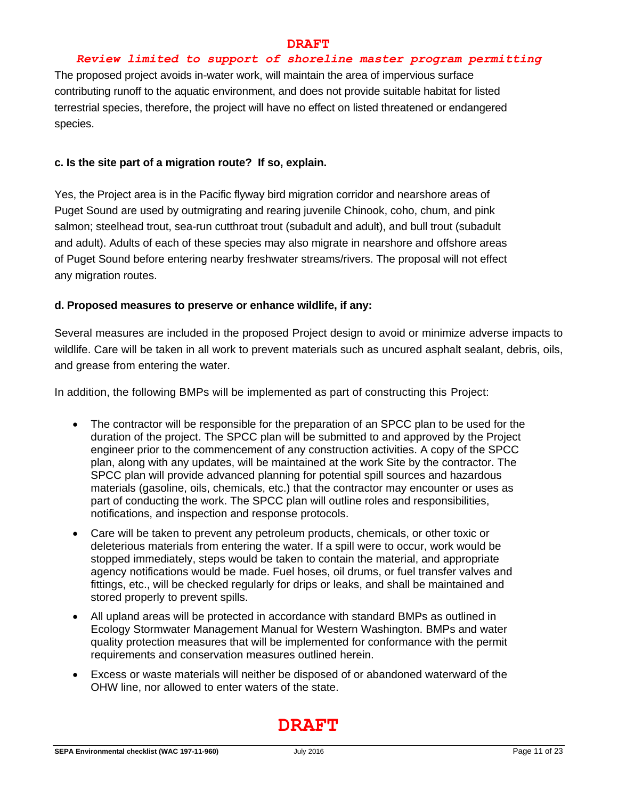#### *Review limited to support of shoreline master program permitting*

The proposed project avoids in-water work, will maintain the area of impervious surface contributing runoff to the aquatic environment, and does not provide suitable habitat for listed terrestrial species, therefore, the project will have no effect on listed threatened or endangered species.

#### **c. Is the site part of a migration route? If so, explain.**

Yes, the Project area is in the Pacific flyway bird migration corridor and nearshore areas of Puget Sound are used by outmigrating and rearing juvenile Chinook, coho, chum, and pink salmon; steelhead trout, sea-run cutthroat trout (subadult and adult), and bull trout (subadult and adult). Adults of each of these species may also migrate in nearshore and offshore areas of Puget Sound before entering nearby freshwater streams/rivers. The proposal will not effect any migration routes.

### **d. Proposed measures to preserve or enhance wildlife, if any:**

Several measures are included in the proposed Project design to avoid or minimize adverse impacts to wildlife. Care will be taken in all work to prevent materials such as uncured asphalt sealant, debris, oils, and grease from entering the water.

In addition, the following BMPs will be implemented as part of constructing this Project:

- The contractor will be responsible for the preparation of an SPCC plan to be used for the duration of the project. The SPCC plan will be submitted to and approved by the Project engineer prior to the commencement of any construction activities. A copy of the SPCC plan, along with any updates, will be maintained at the work Site by the contractor. The SPCC plan will provide advanced planning for potential spill sources and hazardous materials (gasoline, oils, chemicals, etc.) that the contractor may encounter or uses as part of conducting the work. The SPCC plan will outline roles and responsibilities, notifications, and inspection and response protocols.
- Care will be taken to prevent any petroleum products, chemicals, or other toxic or deleterious materials from entering the water. If a spill were to occur, work would be stopped immediately, steps would be taken to contain the material, and appropriate agency notifications would be made. Fuel hoses, oil drums, or fuel transfer valves and fittings, etc., will be checked regularly for drips or leaks, and shall be maintained and stored properly to prevent spills.
- All upland areas will be protected in accordance with standard BMPs as outlined in Ecology Stormwater Management Manual for Western Washington. BMPs and water quality protection measures that will be implemented for conformance with the permit requirements and conservation measures outlined herein.
- Excess or waste materials will neither be disposed of or abandoned waterward of the OHW line, nor allowed to enter waters of the state.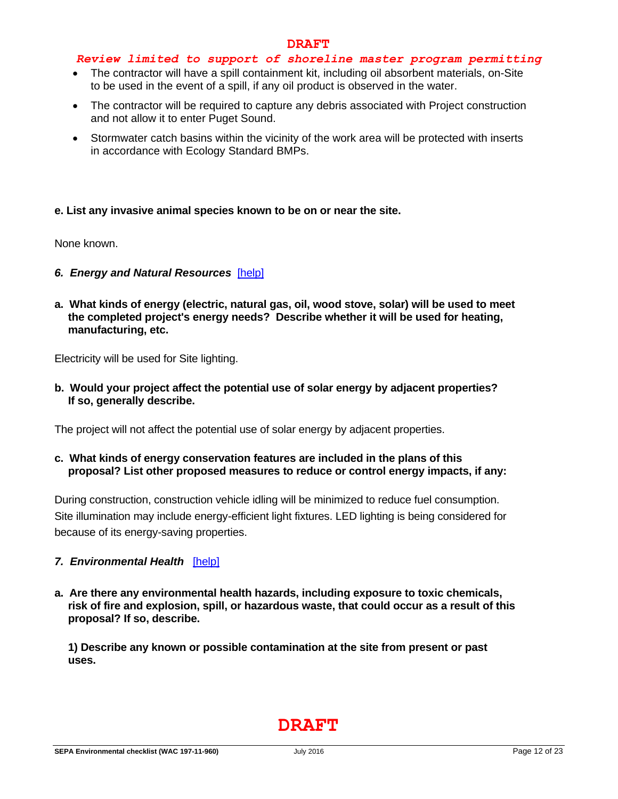#### *Review limited to support of shoreline master program permitting*

- The contractor will have a spill containment kit, including oil absorbent materials, on-Site to be used in the event of a spill, if any oil product is observed in the water.
- The contractor will be required to capture any debris associated with Project construction and not allow it to enter Puget Sound.
- Stormwater catch basins within the vicinity of the work area will be protected with inserts in accordance with Ecology Standard BMPs.

#### **e. List any invasive animal species known to be on or near the site.**

None known.

- *6. Energy and Natural Resources*[\[help\]](https://ecology.wa.gov/Regulations-Permits/SEPA/Environmental-review/SEPA-guidance/SEPA-checklist-guidance/SEPA-Checklist-Section-B-Environmental-elements/Environmental-elements-6-Energy-natural-resou)
- **a. What kinds of energy (electric, natural gas, oil, wood stove, solar) will be used to meet the completed project's energy needs? Describe whether it will be used for heating, manufacturing, etc.**

Electricity will be used for Site lighting.

**b. Would your project affect the potential use of solar energy by adjacent properties? If so, generally describe.**

The project will not affect the potential use of solar energy by adjacent properties.

**c. What kinds of energy conservation features are included in the plans of this proposal? List other proposed measures to reduce or control energy impacts, if any:**

During construction, construction vehicle idling will be minimized to reduce fuel consumption. Site illumination may include energy-efficient light fixtures. LED lighting is being considered for because of its energy-saving properties.

#### *7. Environmental Health*[\[help\]](https://ecology.wa.gov/Regulations-Permits/SEPA/Environmental-review/SEPA-guidance/SEPA-checklist-guidance/SEPA-Checklist-Section-B-Environmental-elements/Environmental-elements-7-Environmental-health)

**a. Are there any environmental health hazards, including exposure to toxic chemicals, risk of fire and explosion, spill, or hazardous waste, that could occur as a result of this proposal? If so, describe.**

**1) Describe any known or possible contamination at the site from present or past uses.**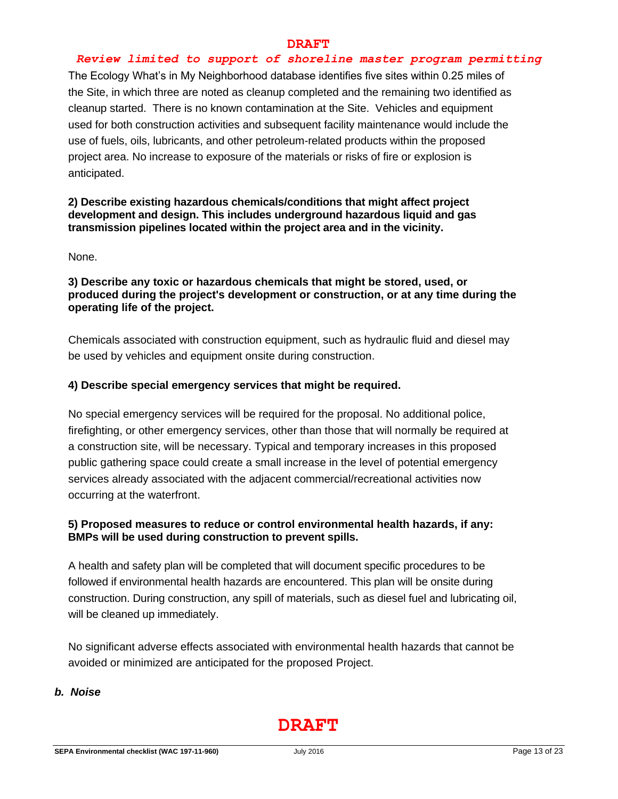#### *Review limited to support of shoreline master program permitting*

The Ecology What's in My Neighborhood database identifies five sites within 0.25 miles of the Site, in which three are noted as cleanup completed and the remaining two identified as cleanup started. There is no known contamination at the Site. Vehicles and equipment used for both construction activities and subsequent facility maintenance would include the use of fuels, oils, lubricants, and other petroleum-related products within the proposed project area. No increase to exposure of the materials or risks of fire or explosion is anticipated.

### **2) Describe existing hazardous chemicals/conditions that might affect project development and design. This includes underground hazardous liquid and gas transmission pipelines located within the project area and in the vicinity.**

None.

**3) Describe any toxic or hazardous chemicals that might be stored, used, or produced during the project's development or construction, or at any time during the operating life of the project.**

Chemicals associated with construction equipment, such as hydraulic fluid and diesel may be used by vehicles and equipment onsite during construction.

#### **4) Describe special emergency services that might be required.**

No special emergency services will be required for the proposal. No additional police, firefighting, or other emergency services, other than those that will normally be required at a construction site, will be necessary. Typical and temporary increases in this proposed public gathering space could create a small increase in the level of potential emergency services already associated with the adjacent commercial/recreational activities now occurring at the waterfront.

# **5) Proposed measures to reduce or control environmental health hazards, if any: BMPs will be used during construction to prevent spills.**

A health and safety plan will be completed that will document specific procedures to be followed if environmental health hazards are encountered. This plan will be onsite during construction. During construction, any spill of materials, such as diesel fuel and lubricating oil, will be cleaned up immediately.

No significant adverse effects associated with environmental health hazards that cannot be avoided or minimized are anticipated for the proposed Project.

#### *b. Noise*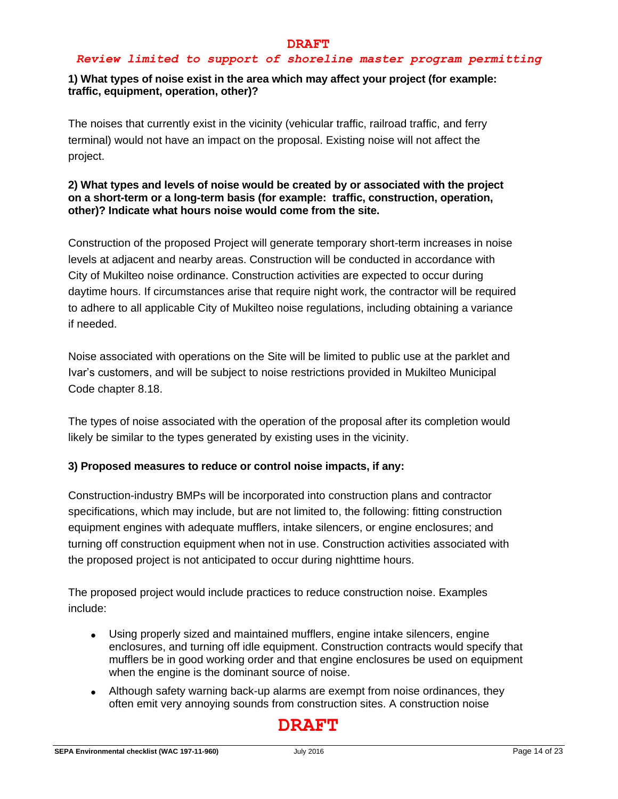#### *Review limited to support of shoreline master program permitting*

## **1) What types of noise exist in the area which may affect your project (for example: traffic, equipment, operation, other)?**

The noises that currently exist in the vicinity (vehicular traffic, railroad traffic, and ferry terminal) would not have an impact on the proposal. Existing noise will not affect the project.

## **2) What types and levels of noise would be created by or associated with the project on a short-term or a long-term basis (for example: traffic, construction, operation, other)? Indicate what hours noise would come from the site.**

Construction of the proposed Project will generate temporary short-term increases in noise levels at adjacent and nearby areas. Construction will be conducted in accordance with City of Mukilteo noise ordinance. Construction activities are expected to occur during daytime hours. If circumstances arise that require night work, the contractor will be required to adhere to all applicable City of Mukilteo noise regulations, including obtaining a variance if needed.

Noise associated with operations on the Site will be limited to public use at the parklet and Ivar's customers, and will be subject to noise restrictions provided in Mukilteo Municipal Code chapter 8.18.

The types of noise associated with the operation of the proposal after its completion would likely be similar to the types generated by existing uses in the vicinity.

#### **3) Proposed measures to reduce or control noise impacts, if any:**

Construction-industry BMPs will be incorporated into construction plans and contractor specifications, which may include, but are not limited to, the following: fitting construction equipment engines with adequate mufflers, intake silencers, or engine enclosures; and turning off construction equipment when not in use. Construction activities associated with the proposed project is not anticipated to occur during nighttime hours.

The proposed project would include practices to reduce construction noise. Examples include:

- Using properly sized and maintained mufflers, engine intake silencers, engine enclosures, and turning off idle equipment. Construction contracts would specify that mufflers be in good working order and that engine enclosures be used on equipment when the engine is the dominant source of noise.
- Although safety warning back-up alarms are exempt from noise ordinances, they often emit very annoying sounds from construction sites. A construction noise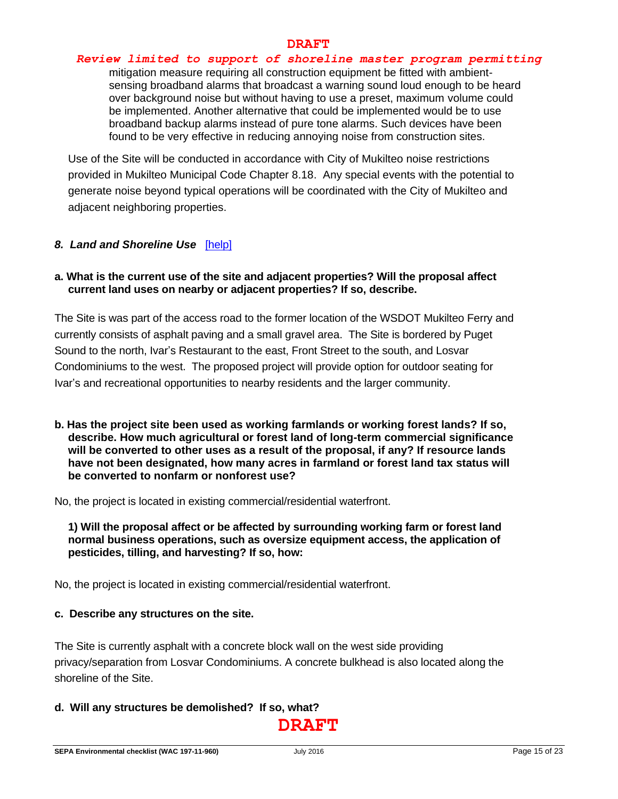#### *Review limited to support of shoreline master program permitting*

mitigation measure requiring all construction equipment be fitted with ambientsensing broadband alarms that broadcast a warning sound loud enough to be heard over background noise but without having to use a preset, maximum volume could be implemented. Another alternative that could be implemented would be to use broadband backup alarms instead of pure tone alarms. Such devices have been found to be very effective in reducing annoying noise from construction sites.

Use of the Site will be conducted in accordance with City of Mukilteo noise restrictions provided in Mukilteo Municipal Code Chapter 8.18. Any special events with the potential to generate noise beyond typical operations will be coordinated with the City of Mukilteo and adjacent neighboring properties.

#### *8. Land and Shoreline Use*[\[help\]](https://ecology.wa.gov/Regulations-Permits/SEPA/Environmental-review/SEPA-guidance/SEPA-checklist-guidance/SEPA-Checklist-Section-B-Environmental-elements/Environmental-elements-8-Land-shoreline-use)

#### **a. What is the current use of the site and adjacent properties? Will the proposal affect current land uses on nearby or adjacent properties? If so, describe.**

The Site is was part of the access road to the former location of the WSDOT Mukilteo Ferry and currently consists of asphalt paving and a small gravel area. The Site is bordered by Puget Sound to the north, Ivar's Restaurant to the east, Front Street to the south, and Losvar Condominiums to the west. The proposed project will provide option for outdoor seating for Ivar's and recreational opportunities to nearby residents and the larger community.

**b. Has the project site been used as working farmlands or working forest lands? If so, describe. How much agricultural or forest land of long-term commercial significance will be converted to other uses as a result of the proposal, if any? If resource lands have not been designated, how many acres in farmland or forest land tax status will be converted to nonfarm or nonforest use?**

No, the project is located in existing commercial/residential waterfront.

**1) Will the proposal affect or be affected by surrounding working farm or forest land normal business operations, such as oversize equipment access, the application of pesticides, tilling, and harvesting? If so, how:**

No, the project is located in existing commercial/residential waterfront.

#### **c. Describe any structures on the site.**

The Site is currently asphalt with a concrete block wall on the west side providing privacy/separation from Losvar Condominiums. A concrete bulkhead is also located along the shoreline of the Site.

#### **d. Will any structures be demolished? If so, what?**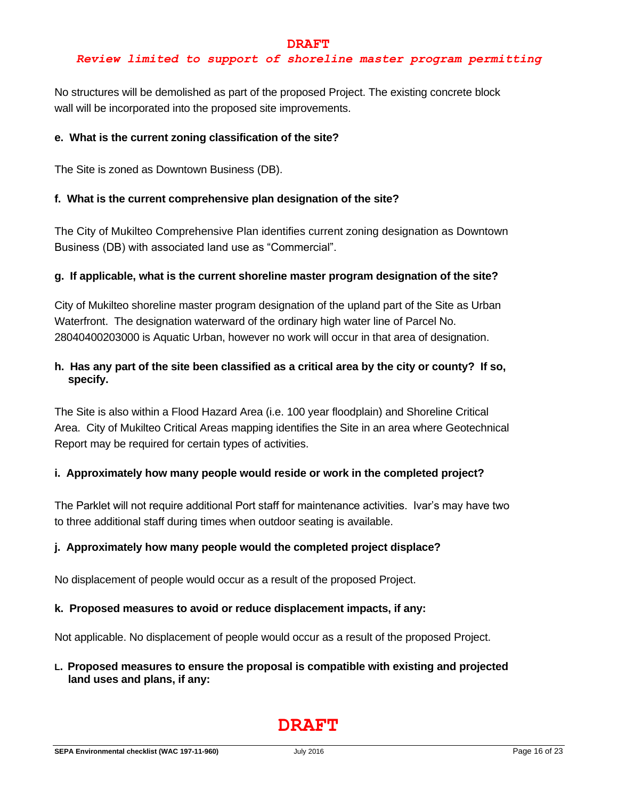## *Review limited to support of shoreline master program permitting*

No structures will be demolished as part of the proposed Project. The existing concrete block wall will be incorporated into the proposed site improvements.

#### **e. What is the current zoning classification of the site?**

The Site is zoned as Downtown Business (DB).

### **f. What is the current comprehensive plan designation of the site?**

The City of Mukilteo Comprehensive Plan identifies current zoning designation as Downtown Business (DB) with associated land use as "Commercial".

#### **g. If applicable, what is the current shoreline master program designation of the site?**

City of Mukilteo shoreline master program designation of the upland part of the Site as Urban Waterfront. The designation waterward of the ordinary high water line of Parcel No. 28040400203000 is Aquatic Urban, however no work will occur in that area of designation.

# **h. Has any part of the site been classified as a critical area by the city or county? If so, specify.**

The Site is also within a Flood Hazard Area (i.e. 100 year floodplain) and Shoreline Critical Area. City of Mukilteo Critical Areas mapping identifies the Site in an area where Geotechnical Report may be required for certain types of activities.

#### **i. Approximately how many people would reside or work in the completed project?**

The Parklet will not require additional Port staff for maintenance activities. Ivar's may have two to three additional staff during times when outdoor seating is available.

#### **j. Approximately how many people would the completed project displace?**

No displacement of people would occur as a result of the proposed Project.

#### **k. Proposed measures to avoid or reduce displacement impacts, if any:**

Not applicable. No displacement of people would occur as a result of the proposed Project.

### **L. Proposed measures to ensure the proposal is compatible with existing and projected land uses and plans, if any:**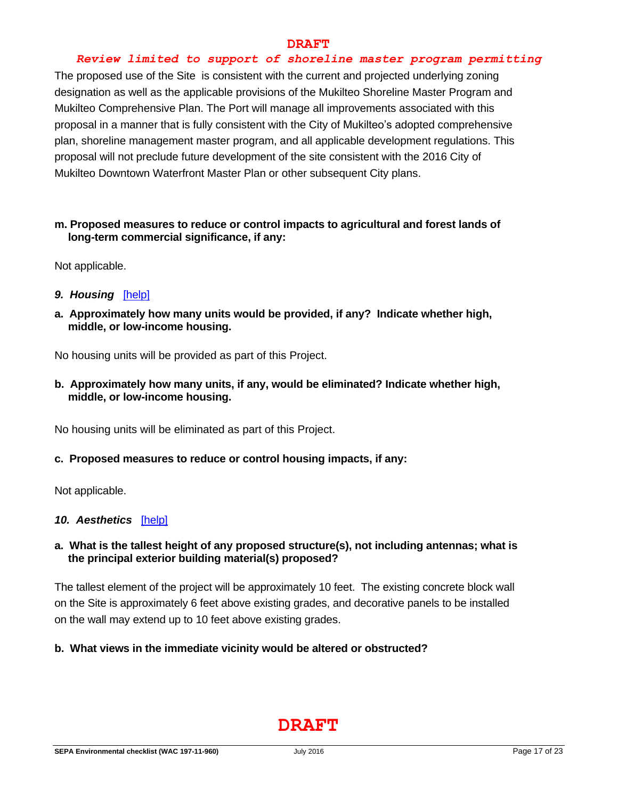### *Review limited to support of shoreline master program permitting*

The proposed use of the Site is consistent with the current and projected underlying zoning designation as well as the applicable provisions of the Mukilteo Shoreline Master Program and Mukilteo Comprehensive Plan. The Port will manage all improvements associated with this proposal in a manner that is fully consistent with the City of Mukilteo's adopted comprehensive plan, shoreline management master program, and all applicable development regulations. This proposal will not preclude future development of the site consistent with the 2016 City of Mukilteo Downtown Waterfront Master Plan or other subsequent City plans.

#### **m. Proposed measures to reduce or control impacts to agricultural and forest lands of long-term commercial significance, if any:**

Not applicable.

- *9. Housing*[\[help\]](https://ecology.wa.gov/Regulations-Permits/SEPA/Environmental-review/SEPA-guidance/SEPA-checklist-guidance/SEPA-Checklist-Section-B-Environmental-elements/Environmental-elements-9-Housing)
- **a. Approximately how many units would be provided, if any? Indicate whether high, middle, or low-income housing.**

No housing units will be provided as part of this Project.

**b. Approximately how many units, if any, would be eliminated? Indicate whether high, middle, or low-income housing.**

No housing units will be eliminated as part of this Project.

#### **c. Proposed measures to reduce or control housing impacts, if any:**

Not applicable.

#### 10. Aesthetics [\[help\]](https://ecology.wa.gov/Regulations-Permits/SEPA/Environmental-review/SEPA-guidance/SEPA-checklist-guidance/SEPA-Checklist-Section-B-Environmental-elements/Environmental-elements-10-Aesthetics)

### **a. What is the tallest height of any proposed structure(s), not including antennas; what is the principal exterior building material(s) proposed?**

The tallest element of the project will be approximately 10 feet. The existing concrete block wall on the Site is approximately 6 feet above existing grades, and decorative panels to be installed on the wall may extend up to 10 feet above existing grades.

#### **b. What views in the immediate vicinity would be altered or obstructed?**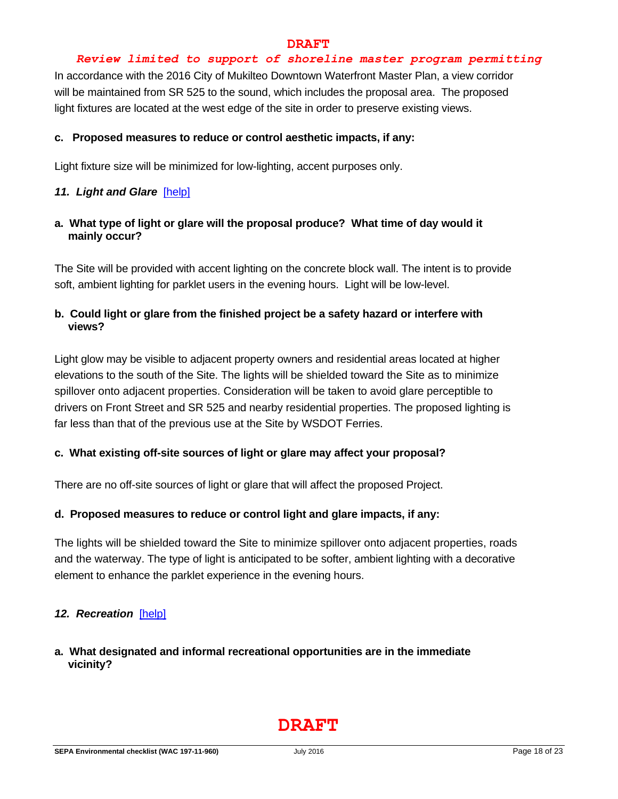#### *Review limited to support of shoreline master program permitting*

In accordance with the 2016 City of Mukilteo Downtown Waterfront Master Plan, a view corridor will be maintained from SR 525 to the sound, which includes the proposal area. The proposed light fixtures are located at the west edge of the site in order to preserve existing views.

#### **c. Proposed measures to reduce or control aesthetic impacts, if any:**

Light fixture size will be minimized for low-lighting, accent purposes only.

#### *11. Light and Glare*[\[help\]](https://ecology.wa.gov/Regulations-Permits/SEPA/Environmental-review/SEPA-guidance/SEPA-checklist-guidance/SEPA-Checklist-Section-B-Environmental-elements/Environmental-elements-11-Light-glare)

**a. What type of light or glare will the proposal produce? What time of day would it mainly occur?**

The Site will be provided with accent lighting on the concrete block wall. The intent is to provide soft, ambient lighting for parklet users in the evening hours. Light will be low-level.

# **b. Could light or glare from the finished project be a safety hazard or interfere with views?**

Light glow may be visible to adjacent property owners and residential areas located at higher elevations to the south of the Site. The lights will be shielded toward the Site as to minimize spillover onto adjacent properties. Consideration will be taken to avoid glare perceptible to drivers on Front Street and SR 525 and nearby residential properties. The proposed lighting is far less than that of the previous use at the Site by WSDOT Ferries.

#### **c. What existing off-site sources of light or glare may affect your proposal?**

There are no off-site sources of light or glare that will affect the proposed Project.

#### **d. Proposed measures to reduce or control light and glare impacts, if any:**

The lights will be shielded toward the Site to minimize spillover onto adjacent properties, roads and the waterway. The type of light is anticipated to be softer, ambient lighting with a decorative element to enhance the parklet experience in the evening hours.

#### *12. Recreation*[\[help\]](https://ecology.wa.gov/Regulations-Permits/SEPA/Environmental-review/SEPA-guidance/SEPA-checklist-guidance/SEPA-Checklist-Section-B-Environmental-elements/Environmental-elements-12-Recreation)

**a. What designated and informal recreational opportunities are in the immediate vicinity?**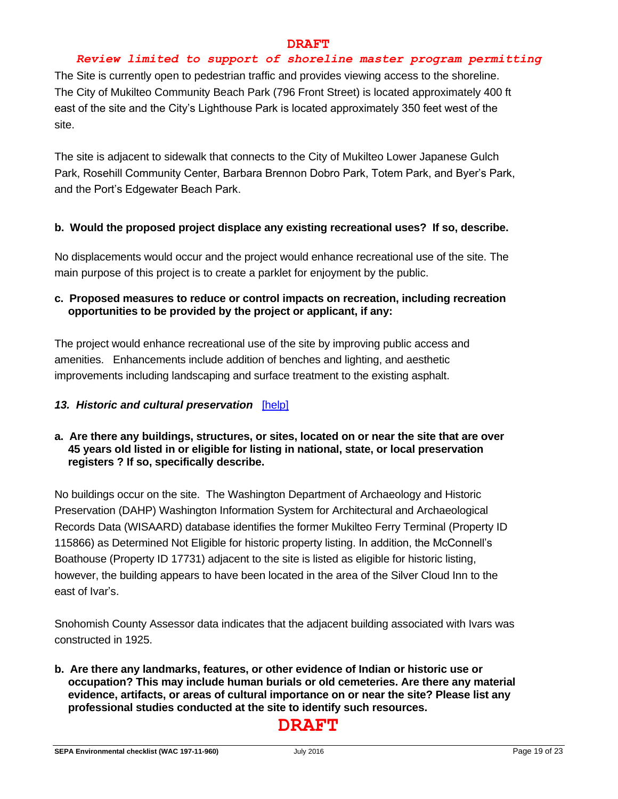## *Review limited to support of shoreline master program permitting*

The Site is currently open to pedestrian traffic and provides viewing access to the shoreline. The City of Mukilteo Community Beach Park (796 Front Street) is located approximately 400 ft east of the site and the City's Lighthouse Park is located approximately 350 feet west of the site.

The site is adjacent to sidewalk that connects to the City of Mukilteo Lower Japanese Gulch Park, Rosehill Community Center, Barbara Brennon Dobro Park, Totem Park, and Byer's Park, and the Port's Edgewater Beach Park.

### **b. Would the proposed project displace any existing recreational uses? If so, describe.**

No displacements would occur and the project would enhance recreational use of the site. The main purpose of this project is to create a parklet for enjoyment by the public.

## **c. Proposed measures to reduce or control impacts on recreation, including recreation opportunities to be provided by the project or applicant, if any:**

The project would enhance recreational use of the site by improving public access and amenities. Enhancements include addition of benches and lighting, and aesthetic improvements including landscaping and surface treatment to the existing asphalt.

## *13. Historic and cultural preservation*[\[help\]](https://ecology.wa.gov/Regulations-Permits/SEPA/Environmental-review/SEPA-guidance/SEPA-checklist-guidance/SEPA-Checklist-Section-B-Environmental-elements/Environmental-elements-13-Historic-cultural-p)

# **a. Are there any buildings, structures, or sites, located on or near the site that are over 45 years old listed in or eligible for listing in national, state, or local preservation registers ? If so, specifically describe.**

No buildings occur on the site. The Washington Department of Archaeology and Historic Preservation (DAHP) Washington Information System for Architectural and Archaeological Records Data (WISAARD) database identifies the former Mukilteo Ferry Terminal (Property ID 115866) as Determined Not Eligible for historic property listing. In addition, the McConnell's Boathouse (Property ID 17731) adjacent to the site is listed as eligible for historic listing, however, the building appears to have been located in the area of the Silver Cloud Inn to the east of Ivar's.

Snohomish County Assessor data indicates that the adjacent building associated with Ivars was constructed in 1925.

**b. Are there any landmarks, features, or other evidence of Indian or historic use or occupation? This may include human burials or old cemeteries. Are there any material evidence, artifacts, or areas of cultural importance on or near the site? Please list any professional studies conducted at the site to identify such resources.**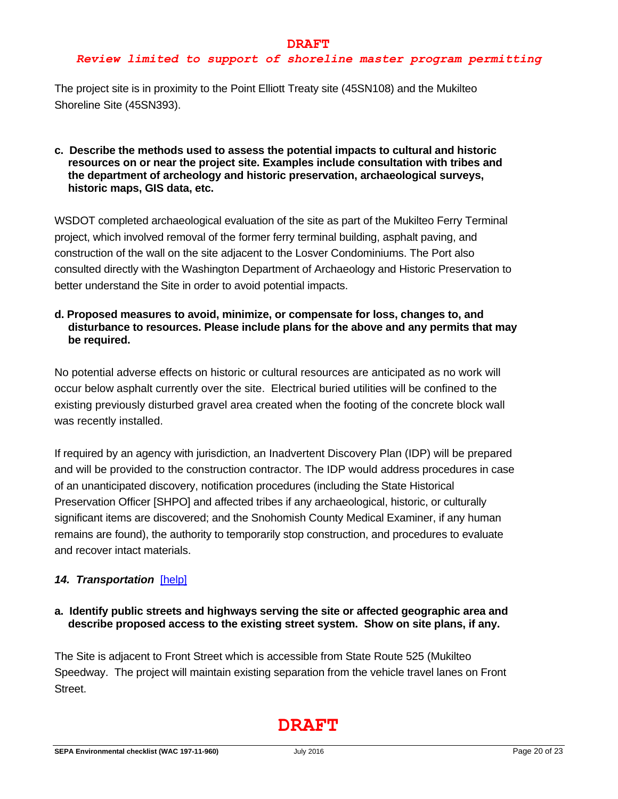# *Review limited to support of shoreline master program permitting*

The project site is in proximity to the Point Elliott Treaty site (45SN108) and the Mukilteo Shoreline Site (45SN393).

#### **c. Describe the methods used to assess the potential impacts to cultural and historic resources on or near the project site. Examples include consultation with tribes and the department of archeology and historic preservation, archaeological surveys, historic maps, GIS data, etc.**

WSDOT completed archaeological evaluation of the site as part of the Mukilteo Ferry Terminal project, which involved removal of the former ferry terminal building, asphalt paving, and construction of the wall on the site adjacent to the Losver Condominiums. The Port also consulted directly with the Washington Department of Archaeology and Historic Preservation to better understand the Site in order to avoid potential impacts.

### **d. Proposed measures to avoid, minimize, or compensate for loss, changes to, and disturbance to resources. Please include plans for the above and any permits that may be required.**

No potential adverse effects on historic or cultural resources are anticipated as no work will occur below asphalt currently over the site. Electrical buried utilities will be confined to the existing previously disturbed gravel area created when the footing of the concrete block wall was recently installed.

If required by an agency with jurisdiction, an Inadvertent Discovery Plan (IDP) will be prepared and will be provided to the construction contractor. The IDP would address procedures in case of an unanticipated discovery, notification procedures (including the State Historical Preservation Officer [SHPO] and affected tribes if any archaeological, historic, or culturally significant items are discovered; and the Snohomish County Medical Examiner, if any human remains are found), the authority to temporarily stop construction, and procedures to evaluate and recover intact materials.

# *14. Transportation*[\[help\]](https://ecology.wa.gov/Regulations-Permits/SEPA/Environmental-review/SEPA-guidance/SEPA-checklist-guidance/SEPA-Checklist-Section-B-Environmental-elements/Environmental-elements-14-Transportation)

### **a. Identify public streets and highways serving the site or affected geographic area and describe proposed access to the existing street system. Show on site plans, if any.**

The Site is adjacent to Front Street which is accessible from State Route 525 (Mukilteo Speedway. The project will maintain existing separation from the vehicle travel lanes on Front Street.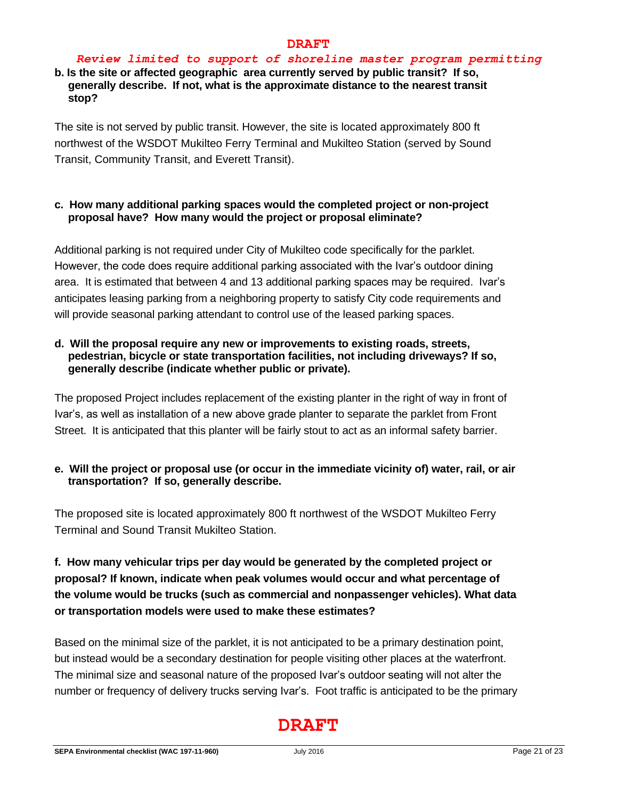# *Review limited to support of shoreline master program permitting*

# **b. Is the site or affected geographic area currently served by public transit? If so, generally describe. If not, what is the approximate distance to the nearest transit stop?**

The site is not served by public transit. However, the site is located approximately 800 ft northwest of the WSDOT Mukilteo Ferry Terminal and Mukilteo Station (served by Sound Transit, Community Transit, and Everett Transit).

## **c. How many additional parking spaces would the completed project or non-project proposal have? How many would the project or proposal eliminate?**

Additional parking is not required under City of Mukilteo code specifically for the parklet. However, the code does require additional parking associated with the Ivar's outdoor dining area. It is estimated that between 4 and 13 additional parking spaces may be required. Ivar's anticipates leasing parking from a neighboring property to satisfy City code requirements and will provide seasonal parking attendant to control use of the leased parking spaces.

# **d. Will the proposal require any new or improvements to existing roads, streets, pedestrian, bicycle or state transportation facilities, not including driveways? If so, generally describe (indicate whether public or private).**

The proposed Project includes replacement of the existing planter in the right of way in front of Ivar's, as well as installation of a new above grade planter to separate the parklet from Front Street. It is anticipated that this planter will be fairly stout to act as an informal safety barrier.

# **e. Will the project or proposal use (or occur in the immediate vicinity of) water, rail, or air transportation? If so, generally describe.**

The proposed site is located approximately 800 ft northwest of the WSDOT Mukilteo Ferry Terminal and Sound Transit Mukilteo Station.

# **f. How many vehicular trips per day would be generated by the completed project or proposal? If known, indicate when peak volumes would occur and what percentage of the volume would be trucks (such as commercial and nonpassenger vehicles). What data or transportation models were used to make these estimates?**

Based on the minimal size of the parklet, it is not anticipated to be a primary destination point, but instead would be a secondary destination for people visiting other places at the waterfront. The minimal size and seasonal nature of the proposed Ivar's outdoor seating will not alter the number or frequency of delivery trucks serving Ivar's. Foot traffic is anticipated to be the primary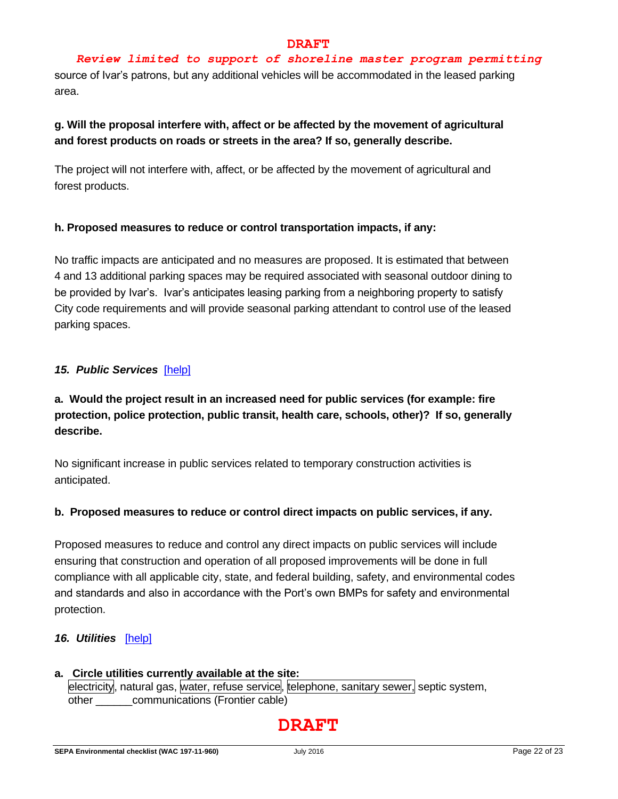# *Review limited to support of shoreline master program permitting*

source of Ivar's patrons, but any additional vehicles will be accommodated in the leased parking area.

# **g. Will the proposal interfere with, affect or be affected by the movement of agricultural and forest products on roads or streets in the area? If so, generally describe.**

The project will not interfere with, affect, or be affected by the movement of agricultural and forest products.

# **h. Proposed measures to reduce or control transportation impacts, if any:**

No traffic impacts are anticipated and no measures are proposed. It is estimated that between 4 and 13 additional parking spaces may be required associated with seasonal outdoor dining to be provided by Ivar's. Ivar's anticipates leasing parking from a neighboring property to satisfy City code requirements and will provide seasonal parking attendant to control use of the leased parking spaces.

# *15. Public Services*[\[help\]](https://ecology.wa.gov/Regulations-Permits/SEPA/Environmental-review/SEPA-guidance/SEPA-checklist-guidance/SEPA-Checklist-Section-B-Environmental-elements/Environmental-elements-15-Public-services)

# **a. Would the project result in an increased need for public services (for example: fire protection, police protection, public transit, health care, schools, other)? If so, generally describe.**

No significant increase in public services related to temporary construction activities is anticipated.

# **b. Proposed measures to reduce or control direct impacts on public services, if any.**

Proposed measures to reduce and control any direct impacts on public services will include ensuring that construction and operation of all proposed improvements will be done in full compliance with all applicable city, state, and federal building, safety, and environmental codes and standards and also in accordance with the Port's own BMPs for safety and environmental protection.

# *16. Utilities*[\[help\]](https://ecology.wa.gov/Regulations-Permits/SEPA/Environmental-review/SEPA-guidance/SEPA-checklist-guidance/SEPA-Checklist-Section-B-Environmental-elements/Environmental-elements-16-Utilities)

### **a. Circle utilities currently available at the site:**  electricity, natural gas, water, refuse service, telephone, sanitary sewer, septic system, other communications (Frontier cable)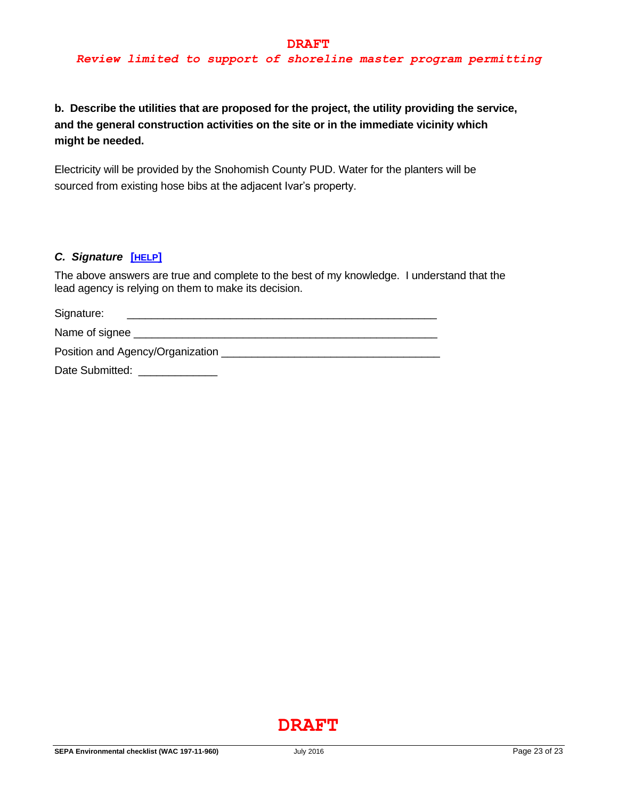**b. Describe the utilities that are proposed for the project, the utility providing the service, and the general construction activities on the site or in the immediate vicinity which might be needed.**

Electricity will be provided by the Snohomish County PUD. Water for the planters will be sourced from existing hose bibs at the adjacent Ivar's property.

### *C. Signature* **[[HELP](https://ecology.wa.gov/Regulations-Permits/SEPA/Environmental-review/SEPA-guidance/SEPA-checklist-guidance/SEPA-Checklist-Section-C-Signature)]**

The above answers are true and complete to the best of my knowledge. I understand that the lead agency is relying on them to make its decision.

| Signature:                       |  |  |
|----------------------------------|--|--|
| Name of signee _                 |  |  |
| Position and Agency/Organization |  |  |
| Date Submitted:                  |  |  |